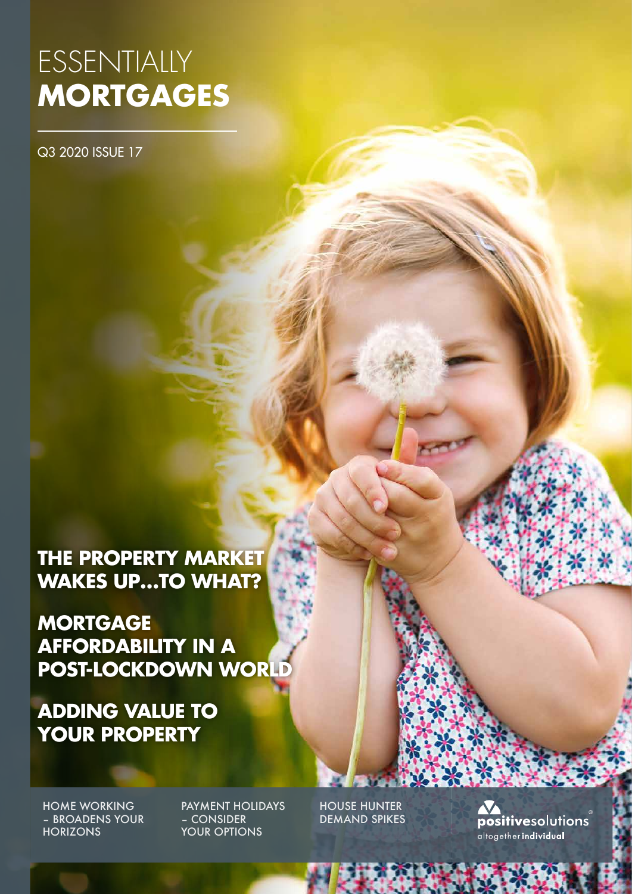# ESSENTIALLY **MORTGAGES**

Q3 2020 ISSUE 17

**THE PROPERTY MARKET WAKES UP…TO WHAT?**

**MORTGAGE AFFORDABILITY IN A POST-LOCKDOWN WORLD**

**ADDING VALUE TO YOUR PROPERTY**

HOME WORKING – BROADENS YOUR **HORIZONS** 

PAYMENT HOLIDAYS – CONSIDER YOUR OPTIONS

HOUSE HUNTER DEMAND SPIKES

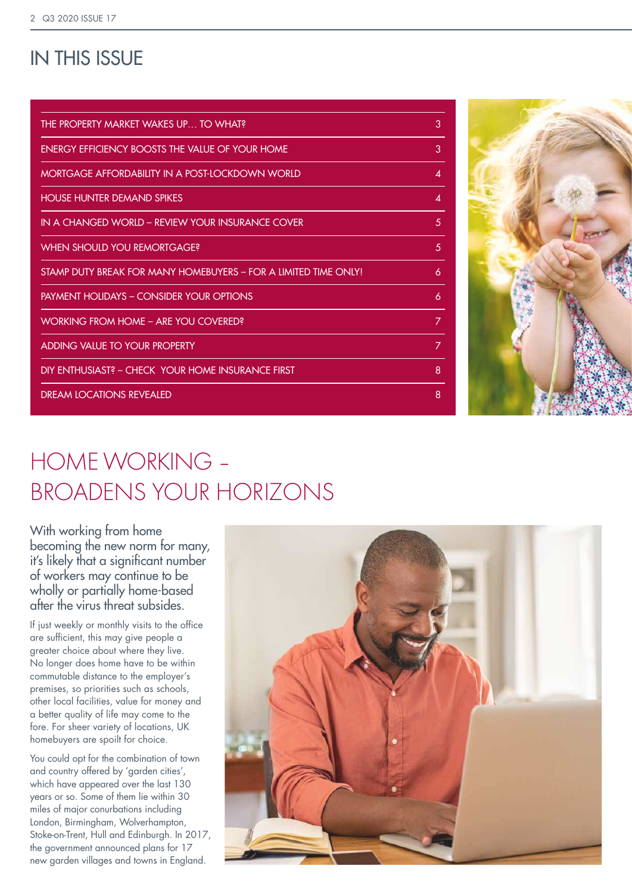### IN THIS ISSUE

| THE PROPERTY MARKET WAKES UP TO WHAT?                          | 3 |
|----------------------------------------------------------------|---|
| ENERGY EFFICIENCY BOOSTS THE VAILUE OF YOUR HOME               | 3 |
| MORTGAGE AFFORDABILITY IN A POST-LOCKDOWN WORLD                | Δ |
| <b>HOUSE HUNTER DEMAND SPIKES</b>                              | 4 |
| IN A CHANGED WORLD - REVIEW YOUR INSURANCE COVER               | 5 |
| <b>WHEN SHOULD YOU REMORTGAGE?</b>                             | 5 |
| STAMP DUTY BREAK FOR MANY HOMEBUYERS - FOR A HMITED TIME ONLYL | 6 |
| <b>PAYMENT HOLIDAYS - CONSIDER YOUR OPTIONS</b>                | 6 |
| WORKING FROM HOME - ARE YOU COVERED?                           | 7 |
| ADDING VALUE TO YOUR PROPERTY                                  | 7 |
| DIY ENTHUSIAST? – CHECK YOUR HOME INSURANCE FIRST              | 8 |
| <b>DREAM LOCATIONS REVEALED</b>                                | 8 |
|                                                                |   |



## HOME WORKING – BROADENS YOUR HORIZONS

With working from home becoming the new norm for many, it's likely that a significant number of workers may continue to be wholly or partially home-based after the virus threat subsides.

If just weekly or monthly visits to the office are sufficient, this may give people a greater choice about where they live. No longer does home have to be within commutable distance to the employer's premises, so priorities such as schools, other local facilities, value for money and a better quality of life may come to the fore. For sheer variety of locations, UK homebuyers are spoilt for choice.

You could opt for the combination of town and country offered by 'garden cities', which have appeared over the last 130 years or so. Some of them lie within 30 miles of major conurbations including London, Birmingham, Wolverhampton, Stoke-on-Trent, Hull and Edinburgh. In 2017, the government announced plans for 17 new garden villages and towns in England.

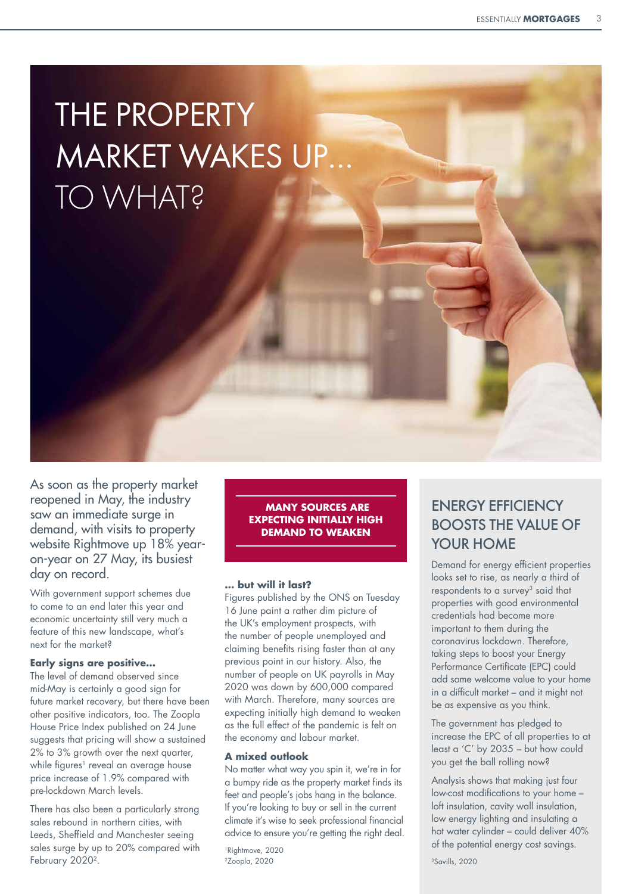# THE PROPERTY MARKET WAKES UP… TO WHAT?

As soon as the property market reopened in May, the industry saw an immediate surge in demand, with visits to property website Rightmove up 18% yearon-year on 27 May, its busiest day on record.

With government support schemes due to come to an end later this year and economic uncertainty still very much a feature of this new landscape, what's next for the market?

#### **Early signs are positive…**

The level of demand observed since mid-May is certainly a good sign for future market recovery, but there have been other positive indicators, too. The Zoopla House Price Index published on 24 June suggests that pricing will show a sustained 2% to 3% growth over the next quarter, while figures<sup>1</sup> reveal an average house price increase of 1.9% compared with pre-lockdown March levels.

There has also been a particularly strong sales rebound in northern cities, with Leeds, Sheffield and Manchester seeing sales surge by up to 20% compared with February 2020<sup>2</sup>.

 **MANY SOURCES ARE EXPECTING INITIALLY HIGH DEMAND TO WEAKEN** 

#### **… but will it last?**

Figures published by the ONS on Tuesday 16 June paint a rather dim picture of the UK's employment prospects, with the number of people unemployed and claiming benefits rising faster than at any previous point in our history. Also, the number of people on UK payrolls in May 2020 was down by 600,000 compared with March. Therefore, many sources are expecting initially high demand to weaken as the full effect of the pandemic is felt on the economy and labour market.

#### **A mixed outlook**

No matter what way you spin it, we're in for a bumpy ride as the property market finds its feet and people's jobs hang in the balance. If you're looking to buy or sell in the current climate it's wise to seek professional financial advice to ensure you're getting the right deal.

<sup>1</sup>Rightmove, 2020 2Zoopla, 2020

### ENERGY EFFICIENCY BOOSTS THE VALUE OF YOUR HOME

Demand for energy efficient properties looks set to rise, as nearly a third of respondents to a survey<sup>3</sup> said that properties with good environmental credentials had become more important to them during the coronavirus lockdown. Therefore, taking steps to boost your Energy Performance Certificate (EPC) could add some welcome value to your home in a difficult market – and it might not be as expensive as you think.

The government has pledged to increase the EPC of all properties to at least a 'C' by 2035 – but how could you get the ball rolling now?

Analysis shows that making just four low-cost modifications to your home – loft insulation, cavity wall insulation, low energy lighting and insulating a hot water cylinder – could deliver 40% of the potential energy cost savings.

3Savills, 2020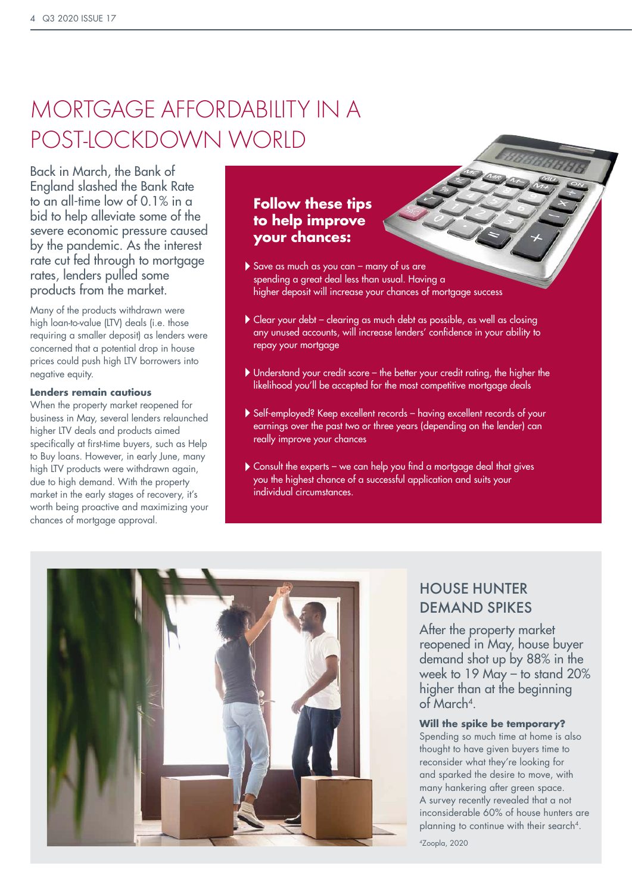## MORTGAGE AFFORDABILITY IN A POST-LOCKDOWN WORLD

Back in March, the Bank of England slashed the Bank Rate to an all-time low of 0.1% in a bid to help alleviate some of the severe economic pressure caused by the pandemic. As the interest rate cut fed through to mortgage rates, lenders pulled some products from the market.

Many of the products withdrawn were high loan-to-value (LTV) deals (i.e. those requiring a smaller deposit) as lenders were concerned that a potential drop in house prices could push high LTV borrowers into negative equity.

#### **Lenders remain cautious**

When the property market reopened for business in May, several lenders relaunched higher LTV deals and products aimed specifically at first-time buyers, such as Help to Buy loans. However, in early June, many high LTV products were withdrawn again, due to high demand. With the property market in the early stages of recovery, it's worth being proactive and maximizing your chances of mortgage approval.

### **Follow these tips to help improve your chances:**

- Save as much as you can many of us are spending a great deal less than usual. Having a higher deposit will increase your chances of mortgage success
- Clear your debt clearing as much debt as possible, as well as closing any unused accounts, will increase lenders' confidence in your ability to repay your mortgage
- Understand your credit score the better your credit rating, the higher the likelihood you'll be accepted for the most competitive mortgage deals
- Self-employed? Keep excellent records having excellent records of your earnings over the past two or three years (depending on the lender) can really improve your chances
- Consult the experts we can help you find a mortgage deal that gives you the highest chance of a successful application and suits your individual circumstances.



### HOUSE HUNTER DEMAND SPIKES

After the property market reopened in May, house buyer demand shot up by 88% in the week to 19 May – to stand 20% higher than at the beginning of March4.

#### **Will the spike be temporary?**

Spending so much time at home is also thought to have given buyers time to reconsider what they're looking for and sparked the desire to move, with many hankering after green space. A survey recently revealed that a not inconsiderable 60% of house hunters are planning to continue with their search<sup>4</sup>.

4Zoopla, 2020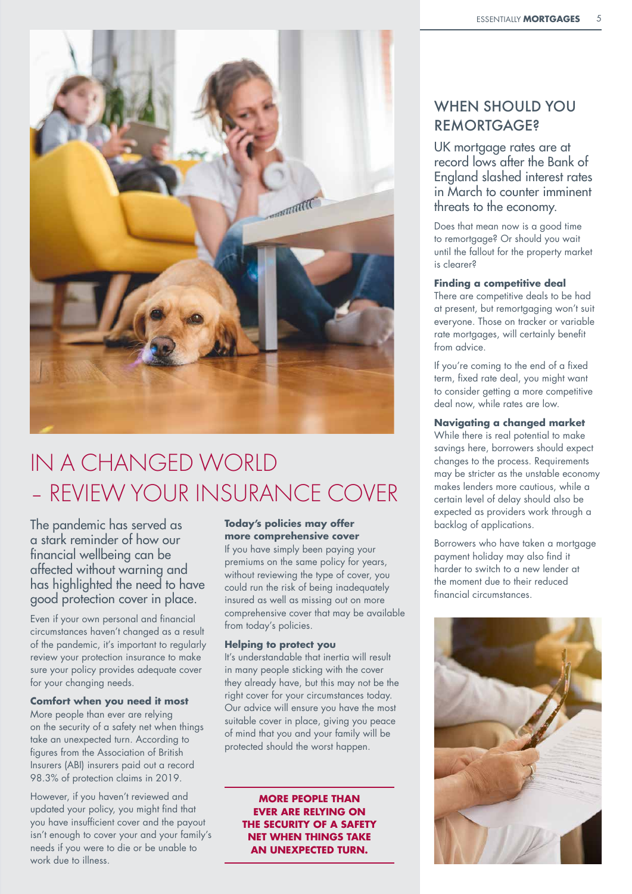

## IN A CHANGED WORLD – REVIEW YOUR INSURANCE COVER

The pandemic has served as a stark reminder of how our financial wellbeing can be affected without warning and has highlighted the need to have good protection cover in place.

Even if your own personal and financial circumstances haven't changed as a result of the pandemic, it's important to regularly review your protection insurance to make sure your policy provides adequate cover for your changing needs.

#### **Comfort when you need it most**

More people than ever are relying on the security of a safety net when things take an unexpected turn. According to figures from the Association of British Insurers (ABI) insurers paid out a record 98.3% of protection claims in 2019.

However, if you haven't reviewed and updated your policy, you might find that you have insufficient cover and the payout isn't enough to cover your and your family's needs if you were to die or be unable to work due to illness.

#### **Today's policies may offer more comprehensive cover**

If you have simply been paying your premiums on the same policy for years, without reviewing the type of cover, you could run the risk of being inadequately insured as well as missing out on more comprehensive cover that may be available from today's policies.

#### **Helping to protect you**

It's understandable that inertia will result in many people sticking with the cover they already have, but this may not be the right cover for your circumstances today. Our advice will ensure you have the most suitable cover in place, giving you peace of mind that you and your family will be protected should the worst happen.

> **MORE PEOPLE THAN EVER ARE RELYING ON THE SECURITY OF A SAFETY NET WHEN THINGS TAKE AN UNEXPECTED TURN.**

### WHEN SHOULD YOU **REMORTGAGE?**

UK mortgage rates are at record lows after the Bank of England slashed interest rates in March to counter imminent threats to the economy.

Does that mean now is a good time to remortgage? Or should you wait until the fallout for the property market is clearer?

#### **Finding a competitive deal**

There are competitive deals to be had at present, but remortgaging won't suit everyone. Those on tracker or variable rate mortgages, will certainly benefit from advice.

If you're coming to the end of a fixed term, fixed rate deal, you might want to consider getting a more competitive deal now, while rates are low.

#### **Navigating a changed market**

While there is real potential to make savings here, borrowers should expect changes to the process. Requirements may be stricter as the unstable economy makes lenders more cautious, while a certain level of delay should also be expected as providers work through a backlog of applications.

Borrowers who have taken a mortgage payment holiday may also find it harder to switch to a new lender at the moment due to their reduced financial circumstances.

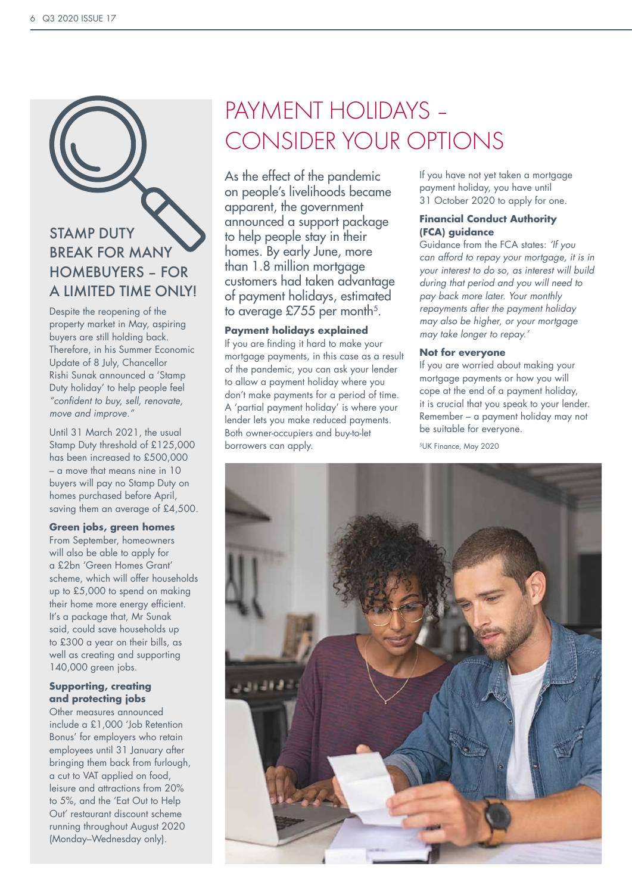## STAMP DUTY BREAK FOR MANY HOMEBUYERS – FOR A LIMITED TIME ONLY!

Despite the reopening of the property market in May, aspiring buyers are still holding back. Therefore, in his Summer Economic Update of 8 July, Chancellor Rishi Sunak announced a 'Stamp Duty holiday' to help people feel *"confident to buy, sell, renovate, move and improve."*

Until 31 March 2021, the usual Stamp Duty threshold of £125,000 has been increased to £500,000 – a move that means nine in 10 buyers will pay no Stamp Duty on homes purchased before April, saving them an average of £4,500.

#### **Green jobs, green homes**

From September, homeowners will also be able to apply for a £2bn 'Green Homes Grant' scheme, which will offer households up to £5,000 to spend on making their home more energy efficient. It's a package that, Mr Sunak said, could save households up to £300 a year on their bills, as well as creating and supporting 140,000 green jobs.

#### **Supporting, creating and protecting jobs**

Other measures announced include a £1,000 'Job Retention Bonus' for employers who retain employees until 31 January after bringing them back from furlough, a cut to VAT applied on food, leisure and attractions from 20% to 5%, and the 'Eat Out to Help Out' restaurant discount scheme running throughout August 2020 (Monday–Wednesday only).

## PAYMENT HOIIDAYS -CONSIDER YOUR OPTIONS

As the effect of the pandemic on people's livelihoods became apparent, the government announced a support package to help people stay in their homes. By early June, more than 1.8 million mortgage customers had taken advantage of payment holidays, estimated to average  $£755$  per month<sup>5</sup>.

#### **Payment holidays explained**

If you are finding it hard to make your mortgage payments, in this case as a result of the pandemic, you can ask your lender to allow a payment holiday where you don't make payments for a period of time. A 'partial payment holiday' is where your lender lets you make reduced payments. Both owner-occupiers and buy-to-let borrowers can apply.

If you have not yet taken a mortgage payment holiday, you have until 31 October 2020 to apply for one.

#### **Financial Conduct Authority (FCA) guidance**

Guidance from the FCA states: *'If you can afford to repay your mortgage, it is in your interest to do so, as interest will build during that period and you will need to pay back more later. Your monthly repayments after the payment holiday may also be higher, or your mortgage may take longer to repay.'*

#### **Not for everyone**

If you are worried about making your mortgage payments or how you will cope at the end of a payment holiday, it is crucial that you speak to your lender. Remember – a payment holiday may not be suitable for everyone.

5UK Finance, May 2020

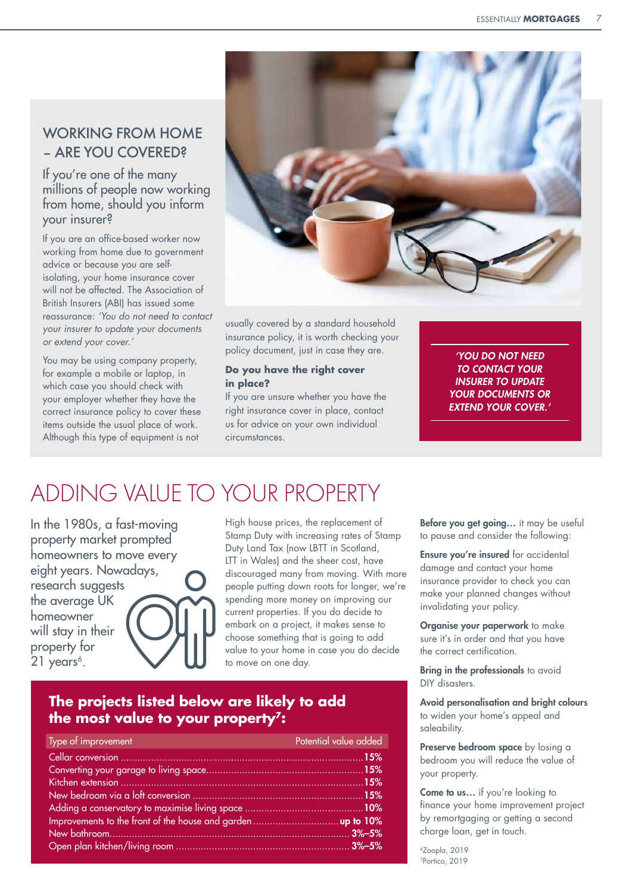### WORKING FROM HOME – ARE YOU COVERED?

#### If you're one of the many millions of people now working from home, should you inform your insurer?

If you are an office-based worker now working from home due to government advice or because you are selfisolating, your home insurance cover will not be affected. The Association of British Insurers (ABI) has issued some reassurance: *'You do not need to contact your insurer to update your documents or extend your cover.'*

You may be using company property, for example a mobile or laptop, in which case you should check with your employer whether they have the correct insurance policy to cover these items outside the usual place of work. Although this type of equipment is not



usually covered by a standard household insurance policy, it is worth checking your policy document, just in case they are.

#### **Do you have the right cover in place?**

If you are unsure whether you have the right insurance cover in place, contact us for advice on your own individual circumstances.

*'YOU DO NOT NEED TO CONTACT YOUR INSURER TO UPDATE YOUR DOCUMENTS OR EXTEND YOUR COVER.'*

## ADDING VALUE TO YOUR PROPERTY

In the 1980s, a fast-moving property market prompted homeowners to move every eight years. Nowadays, research suggests the average UK homeowner will stay in their property for  $21$  years<sup>6</sup>.

High house prices, the replacement of Stamp Duty with increasing rates of Stamp Duty Land Tax (now LBTT in Scotland, LTT in Wales) and the sheer cost, have discouraged many from moving. With more people putting down roots for longer, we're spending more money on improving our current properties. If you do decide to embark on a project, it makes sense to choose something that is going to add value to your home in case you do decide to move on one day.

### **The projects listed below are likely to add the most value to your property7:**

| Type of improvement | Potential value added |
|---------------------|-----------------------|
|                     |                       |
|                     |                       |
|                     |                       |
|                     |                       |
|                     |                       |
|                     |                       |
|                     |                       |
|                     |                       |

Before you get going... it may be useful to pause and consider the following:

Ensure you're insured for accidental damage and contact your home insurance provider to check you can make your planned changes without invalidating your policy.

Organise your paperwork to make sure it's in order and that you have the correct certification.

Bring in the professionals to avoid DIY disasters.

Avoid personalisation and bright colours to widen your home's appeal and saleability.

Preserve bedroom space by losing a bedroom you will reduce the value of your property.

Come to us... if you're looking to finance your home improvement project by remortgaging or getting a second charge loan, get in touch.

6Zoopla, 2019 7Portico, 2019